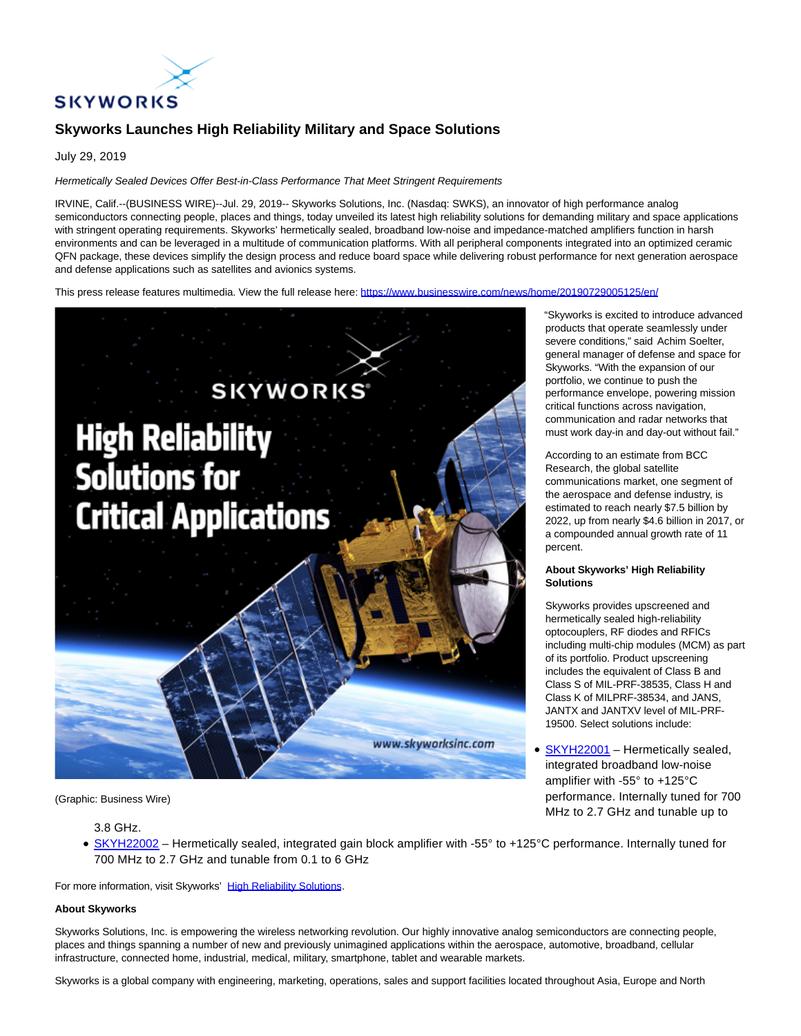

# **Skyworks Launches High Reliability Military and Space Solutions**

July 29, 2019

## Hermetically Sealed Devices Offer Best-in-Class Performance That Meet Stringent Requirements

IRVINE, Calif.--(BUSINESS WIRE)--Jul. 29, 2019-- Skyworks Solutions, Inc. (Nasdaq: SWKS), an innovator of high performance analog semiconductors connecting people, places and things, today unveiled its latest high reliability solutions for demanding military and space applications with stringent operating requirements. Skyworks' hermetically sealed, broadband low-noise and impedance-matched amplifiers function in harsh environments and can be leveraged in a multitude of communication platforms. With all peripheral components integrated into an optimized ceramic QFN package, these devices simplify the design process and reduce board space while delivering robust performance for next generation aerospace and defense applications such as satellites and avionics systems.

This press release features multimedia. View the full release here:<https://www.businesswire.com/news/home/20190729005125/en/>



(Graphic: Business Wire)

# 3.8 GHz.

[SKYH22002](https://cts.businesswire.com/ct/CT?id=smartlink&url=http%3A%2F%2Fwww.skyworksinc.com%2FProduct%2F4164%2FSKYH22002%3Fsource%3Dpr&esheet=52019800&newsitemid=20190729005125&lan=en-US&anchor=SKYH22002&index=2&md5=08365bdf16b52a818bd1d8c8fedc6ff3) – Hermetically sealed, integrated gain block amplifier with -55° to +125°C performance. Internally tuned for 700 MHz to 2.7 GHz and tunable from 0.1 to 6 GHz

For more information, visit Skyworks' [High Reliability Solutions.](https://cts.businesswire.com/ct/CT?id=smartlink&url=http%3A%2F%2Fwww.skyworksinc.com%2FProducts%2F1186%2FLNAs_for_Radar_Applications_&esheet=52019800&newsitemid=20190729005125&lan=en-US&anchor=High+Reliability+Solutions&index=3&md5=122b71a9ccdd7db560323a98b8739800)

#### **About Skyworks**

Skyworks Solutions, Inc. is empowering the wireless networking revolution. Our highly innovative analog semiconductors are connecting people, places and things spanning a number of new and previously unimagined applications within the aerospace, automotive, broadband, cellular infrastructure, connected home, industrial, medical, military, smartphone, tablet and wearable markets.

Skyworks is a global company with engineering, marketing, operations, sales and support facilities located throughout Asia, Europe and North

"Skyworks is excited to introduce advanced products that operate seamlessly under severe conditions," said Achim Soelter, general manager of defense and space for Skyworks. "With the expansion of our portfolio, we continue to push the performance envelope, powering mission critical functions across navigation, communication and radar networks that must work day-in and day-out without fail."

According to an estimate from BCC Research, the global satellite communications market, one segment of the aerospace and defense industry, is estimated to reach nearly \$7.5 billion by 2022, up from nearly \$4.6 billion in 2017, or a compounded annual growth rate of 11 percent.

## **About Skyworks' High Reliability Solutions**

Skyworks provides upscreened and hermetically sealed high-reliability optocouplers, RF diodes and RFICs including multi-chip modules (MCM) as part of its portfolio. Product upscreening includes the equivalent of Class B and Class S of MIL-PRF-38535, Class H and Class K of MILPRF-38534, and JANS, JANTX and JANTXV level of MIL-PRF-19500. Select solutions include:

[SKYH22001 –](https://cts.businesswire.com/ct/CT?id=smartlink&url=http%3A%2F%2Fwww.skyworksinc.com%2FProduct%2F4163%2FSKYH22001&esheet=52019800&newsitemid=20190729005125&lan=en-US&anchor=SKYH22001&index=1&md5=060da734952ddd869be0dcb18babf709) Hermetically sealed, integrated broadband low-noise amplifier with -55° to +125°C performance. Internally tuned for 700 MHz to 2.7 GHz and tunable up to